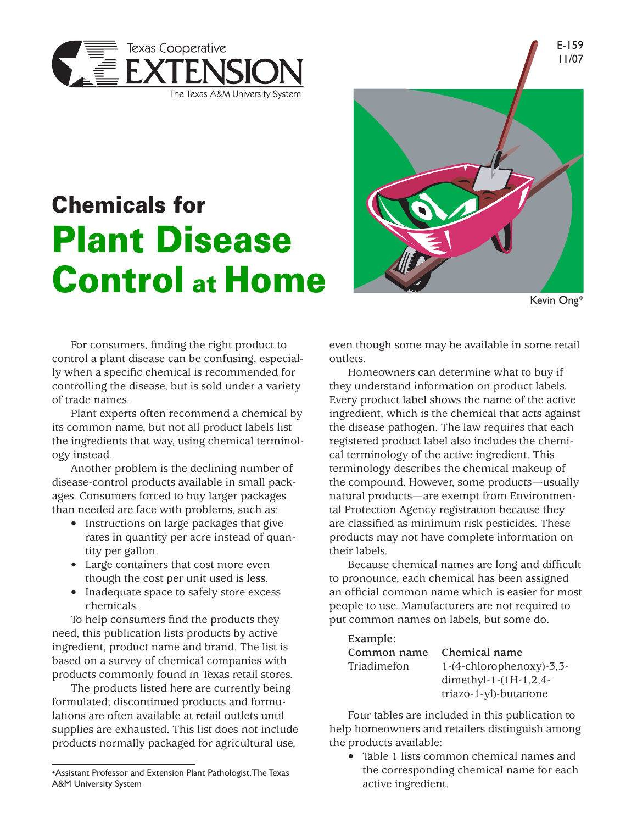

## Chemicals for Plant Disease Control at Home



Kevin Ong\*

E-159

For consumers, finding the right product to control a plant disease can be confusing, especially when a specific chemical is recommended for controlling the disease, but is sold under a variety of trade names.

Plant experts often recommend a chemical by its common name, but not all product labels list the ingredients that way, using chemical terminology instead.

Another problem is the declining number of disease-control products available in small packages. Consumers forced to buy larger packages than needed are face with problems, such as:

- Instructions on large packages that give rates in quantity per acre instead of quantity per gallon.
- Large containers that cost more even though the cost per unit used is less.
- Inadequate space to safely store excess chemicals.

To help consumers find the products they need, this publication lists products by active ingredient, product name and brand. The list is based on a survey of chemical companies with products commonly found in Texas retail stores.

The products listed here are currently being formulated; discontinued products and formulations are often available at retail outlets until supplies are exhausted. This list does not include products normally packaged for agricultural use,

even though some may be available in some retail outlets.

Homeowners can determine what to buy if they understand information on product labels. Every product label shows the name of the active ingredient, which is the chemical that acts against the disease pathogen. The law requires that each registered product label also includes the chemical terminology of the active ingredient. This terminology describes the chemical makeup of the compound. However, some products—usually natural products—are exempt from Environmental Protection Agency registration because they are classified as minimum risk pesticides. These products may not have complete information on their labels.

Because chemical names are long and difficult to pronounce, each chemical has been assigned an official common name which is easier for most people to use. Manufacturers are not required to put common names on labels, but some do.

| Example:    |                            |
|-------------|----------------------------|
| Common name | Chemical name              |
| Triadimefon | $1-(4-chlorophenoxy)-3,3-$ |
|             | dimethyl-1- $(1H-1, 2, 4-$ |
|             | triazo-1-yl)-butanone      |

Four tables are included in this publication to help homeowners and retailers distinguish among the products available:

Table 1 lists common chemical names and the corresponding chemical name for each active ingredient.

<sup>•</sup>Assistant Professor and Extension Plant Pathologist, The Texas A&M University System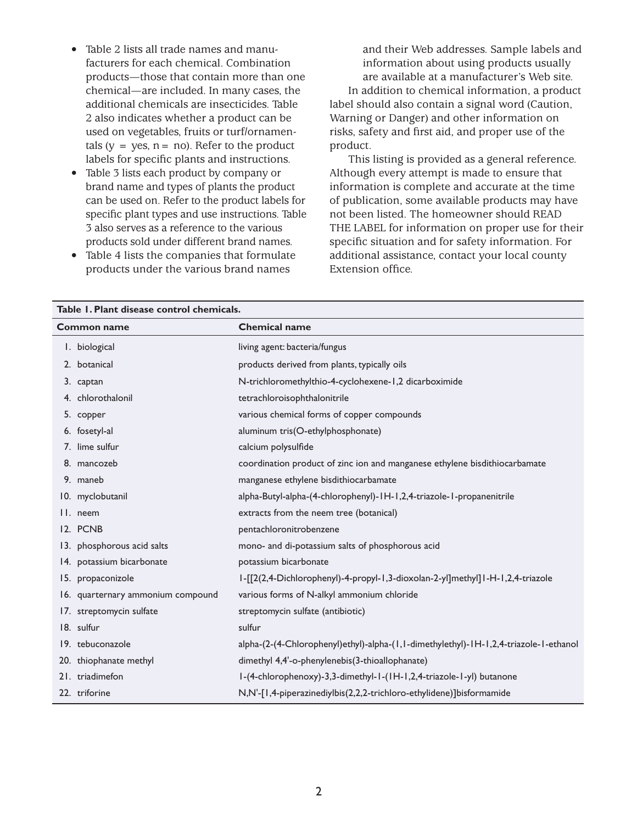- Table 2 lists all trade names and manufacturers for each chemical. Combination products—those that contain more than one chemical—are included. In many cases, the additional chemicals are insecticides. Table 2 also indicates whether a product can be used on vegetables, fruits or turf/ornamentals ( $y = yes$ ,  $n = no$ ). Refer to the product labels for specific plants and instructions.
- Table 3 lists each product by company or brand name and types of plants the product can be used on. Refer to the product labels for specific plant types and use instructions. Table 3 also serves as a reference to the various products sold under different brand names.
- Table 4 lists the companies that formulate products under the various brand names

and their Web addresses. Sample labels and information about using products usually are available at a manufacturer's Web site. In addition to chemical information, a product label should also contain a signal word (Caution, Warning or Danger) and other information on risks, safety and first aid, and proper use of the product.

This listing is provided as a general reference. Although every attempt is made to ensure that information is complete and accurate at the time of publication, some available products may have not been listed. The homeowner should READ THE LABEL for information on proper use for their specific situation and for safety information. For additional assistance, contact your local county Extension office.

| Table 1. Plant disease control chemicals. |                                   |                                                                                       |  |  |
|-------------------------------------------|-----------------------------------|---------------------------------------------------------------------------------------|--|--|
|                                           | <b>Common name</b>                | <b>Chemical name</b>                                                                  |  |  |
|                                           | I. biological                     | living agent: bacteria/fungus                                                         |  |  |
|                                           | 2. botanical                      | products derived from plants, typically oils                                          |  |  |
|                                           | 3. captan                         | N-trichloromethylthio-4-cyclohexene-1,2 dicarboximide                                 |  |  |
|                                           | 4. chlorothalonil                 | tetrachloroisophthalonitrile                                                          |  |  |
|                                           | 5. copper                         | various chemical forms of copper compounds                                            |  |  |
|                                           | 6. fosetyl-al                     | aluminum tris(O-ethylphosphonate)                                                     |  |  |
|                                           | 7. lime sulfur                    | calcium polysulfide                                                                   |  |  |
|                                           | 8. mancozeb                       | coordination product of zinc ion and manganese ethylene bisdithiocarbamate            |  |  |
|                                           | 9. maneb                          | manganese ethylene bisdithiocarbamate                                                 |  |  |
|                                           | 10. myclobutanil                  | alpha-Butyl-alpha-(4-chlorophenyl)-IH-I,2,4-triazole-I-propanenitrile                 |  |  |
|                                           | II. neem                          | extracts from the neem tree (botanical)                                               |  |  |
|                                           | 12. PCNB                          | pentachloronitrobenzene                                                               |  |  |
|                                           | 13. phosphorous acid salts        | mono- and di-potassium salts of phosphorous acid                                      |  |  |
|                                           | 14. potassium bicarbonate         | potassium bicarbonate                                                                 |  |  |
|                                           | 15. propaconizole                 | I-[[2(2,4-Dichlorophenyl)-4-propyl-1,3-dioxolan-2-yl]methyl]1-H-1,2,4-triazole        |  |  |
|                                           | 16. quarternary ammonium compound | various forms of N-alkyl ammonium chloride                                            |  |  |
|                                           | 17. streptomycin sulfate          | streptomycin sulfate (antibiotic)                                                     |  |  |
|                                           | 18. sulfur                        | sulfur                                                                                |  |  |
|                                           | 19. tebuconazole                  | alpha-(2-(4-Chlorophenyl)ethyl)-alpha-(1,1-dimethylethyl)-1H-1,2,4-triazole-1-ethanol |  |  |
|                                           | 20. thiophanate methyl            | dimethyl 4,4'-o-phenylenebis(3-thioallophanate)                                       |  |  |
|                                           | 21. triadimefon                   | I-(4-chlorophenoxy)-3,3-dimethyl-1-(IH-1,2,4-triazole-1-yl) butanone                  |  |  |
|                                           | 22. triforine                     | N,N'-[1,4-piperazinediylbis(2,2,2-trichloro-ethylidene)]bisformamide                  |  |  |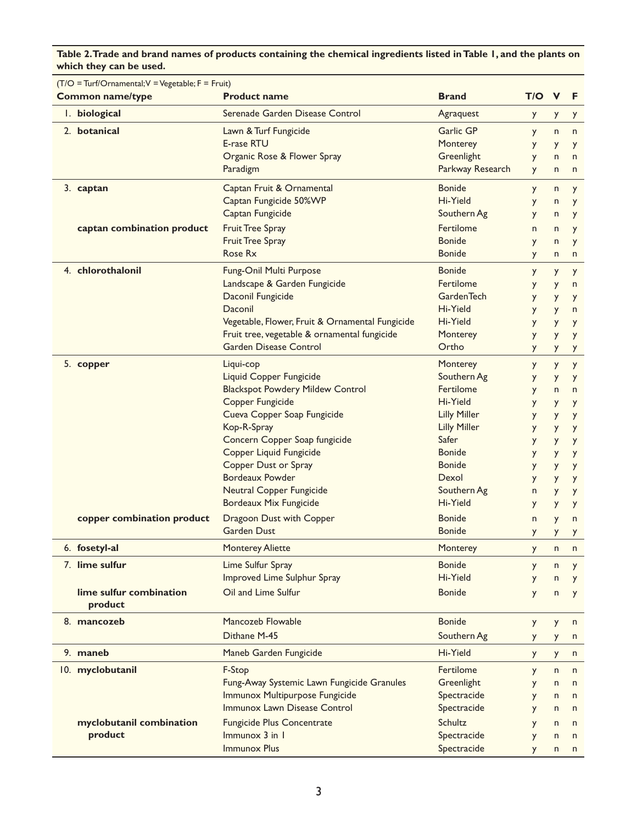**Table 2. Trade and brand names of products containing the chemical ingredients listed in Table 1, and the plants on which they can be used.**

| $(T/O = Turf/Ornamental; V = Vegetable; F = Fruit)$ |                            |                                                 |                     |              |              |              |
|-----------------------------------------------------|----------------------------|-------------------------------------------------|---------------------|--------------|--------------|--------------|
|                                                     | <b>Common name/type</b>    | <b>Product name</b>                             | <b>Brand</b>        | T/O V        |              | - F          |
|                                                     | I. biological              | Serenade Garden Disease Control                 | Agraquest           | y            | y            | y            |
| 2. botanical<br>Lawn & Turf Fungicide               |                            | Garlic GP                                       | y                   | n            | n            |              |
|                                                     |                            | E-rase RTU                                      | Monterey            | y            | y            | y            |
|                                                     |                            | Organic Rose & Flower Spray                     | Greenlight          | y            | $\mathsf{n}$ | n            |
|                                                     |                            | Paradigm                                        | Parkway Research    | y            | n            | n            |
|                                                     | 3. captan                  | Captan Fruit & Ornamental                       | <b>Bonide</b>       | y            | n            | y            |
|                                                     |                            | Captan Fungicide 50%WP                          | Hi-Yield            | y            | n            | y            |
|                                                     |                            | Captan Fungicide                                | Southern Ag         | y            | n            | y            |
|                                                     | captan combination product | <b>Fruit Tree Spray</b>                         | <b>Fertilome</b>    | n            | n            | y            |
|                                                     |                            | <b>Fruit Tree Spray</b>                         | <b>Bonide</b>       | y            | n            | y            |
|                                                     |                            | <b>Rose Rx</b>                                  | <b>Bonide</b>       | y            | n            | n            |
|                                                     | 4. chlorothalonil          | <b>Fung-Onil Multi Purpose</b>                  | <b>Bonide</b>       | y            | y            | y            |
|                                                     |                            | Landscape & Garden Fungicide                    | Fertilome           | y            | y            | n            |
|                                                     |                            | Daconil Fungicide                               | <b>GardenTech</b>   | y            | y            | y            |
|                                                     |                            | Daconil                                         | Hi-Yield            | y            | y            | n            |
|                                                     |                            | Vegetable, Flower, Fruit & Ornamental Fungicide | Hi-Yield            | y            | y            | y            |
|                                                     |                            | Fruit tree, vegetable & ornamental fungicide    | Monterey            | y            | y            | y            |
|                                                     |                            | <b>Garden Disease Control</b>                   | Ortho               | y            | y            | y            |
|                                                     | 5. copper                  | Liqui-cop                                       | Monterey            | y            | y            | y            |
|                                                     |                            | Liquid Copper Fungicide                         | Southern Ag         | y            | y            | y            |
|                                                     |                            | <b>Blackspot Powdery Mildew Control</b>         | Fertilome           | y            | n            | n            |
|                                                     |                            | Copper Fungicide                                | Hi-Yield            | y            | y            | y            |
|                                                     |                            | Cueva Copper Soap Fungicide                     | <b>Lilly Miller</b> | y            | y            | y            |
|                                                     |                            | Kop-R-Spray                                     | <b>Lilly Miller</b> | y            | y            | y            |
|                                                     |                            | Concern Copper Soap fungicide                   | Safer               | y            | y            | y            |
|                                                     |                            | Copper Liquid Fungicide                         | <b>Bonide</b>       | y            | y            | y            |
|                                                     |                            | <b>Copper Dust or Spray</b>                     | <b>Bonide</b>       | y            | y            | y            |
|                                                     |                            | <b>Bordeaux Powder</b>                          | Dexol               | y            | y            | y            |
|                                                     |                            | <b>Neutral Copper Fungicide</b>                 | Southern Ag         | n            | y            | y            |
|                                                     |                            | <b>Bordeaux Mix Fungicide</b>                   | Hi-Yield            | y            | y            | y            |
|                                                     | copper combination product | Dragoon Dust with Copper                        | <b>Bonide</b>       | $\mathsf{n}$ | y            | n            |
|                                                     |                            | <b>Garden Dust</b>                              | <b>Bonide</b>       | y            | y            | y            |
|                                                     | 6. fosetyl-al              | <b>Monterey Aliette</b>                         | Monterey            | y            | n            | n            |
|                                                     | 7. lime sulfur             | Lime Sulfur Spray                               | <b>Bonide</b>       | y            | n            | y            |
|                                                     |                            | <b>Improved Lime Sulphur Spray</b>              | Hi-Yield            | y            | n            | y            |
|                                                     | lime sulfur combination    | Oil and Lime Sulfur                             | <b>Bonide</b>       | y            | n            | y            |
|                                                     | product                    |                                                 |                     |              |              |              |
|                                                     | 8. mancozeb                | Mancozeb Flowable                               | <b>Bonide</b>       | y            | y            | n            |
|                                                     |                            | Dithane M-45                                    | Southern Ag         | y            | y            | n            |
|                                                     | 9. maneb                   | Maneb Garden Fungicide                          | Hi-Yield            | y            | y            | n            |
|                                                     | 10. myclobutanil           | F-Stop                                          | Fertilome           | y            | n            | n            |
|                                                     |                            | Fung-Away Systemic Lawn Fungicide Granules      | Greenlight          | y            | n            | n            |
|                                                     |                            | Immunox Multipurpose Fungicide                  | Spectracide         | y            | n            | $\mathsf{n}$ |
|                                                     |                            | Immunox Lawn Disease Control                    | Spectracide         | y            | n            | $\mathsf{n}$ |
|                                                     | myclobutanil combination   | <b>Fungicide Plus Concentrate</b>               | Schultz             | y            | n            | n            |
|                                                     | product                    | $Immunox$ 3 in $1$                              | Spectracide         | y            | n            | n            |
|                                                     |                            | <b>Immunox Plus</b>                             | Spectracide         | <b>V</b>     | n            | n            |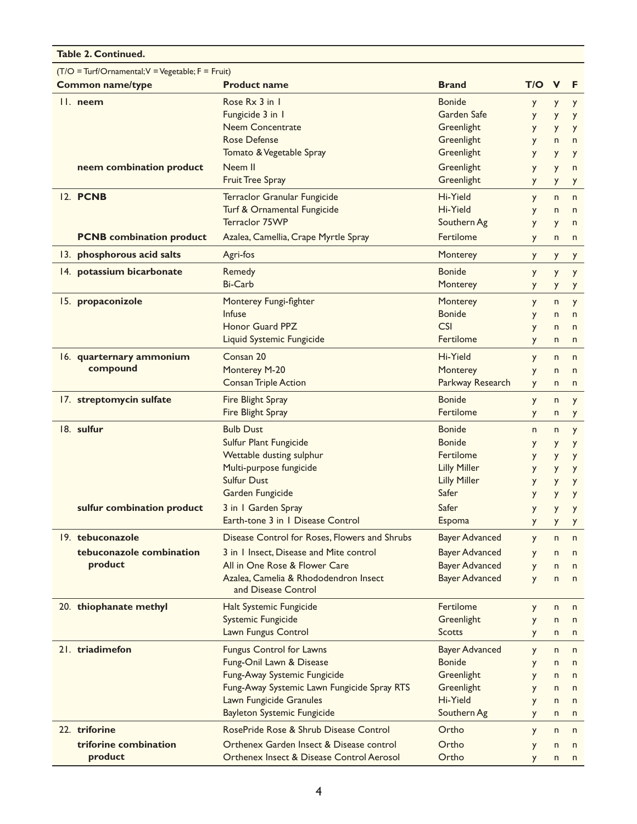| <b>Table 2. Continued.</b>                          |                                 |                                               |                       |              |              |              |
|-----------------------------------------------------|---------------------------------|-----------------------------------------------|-----------------------|--------------|--------------|--------------|
| $(T/O = Turf/Ornamental; V = Vegetable; F = Fruit)$ |                                 |                                               |                       |              |              |              |
| <b>Common name/type</b>                             |                                 | <b>Product name</b>                           | <b>Brand</b>          | T/O          | $\mathbf v$  | F.           |
| $II.$ neem                                          |                                 | Rose Rx 3 in 1                                | <b>Bonide</b>         | y            | y            | y            |
|                                                     |                                 | Fungicide 3 in 1                              | Garden Safe           | y            | y            | y            |
|                                                     |                                 | <b>Neem Concentrate</b>                       | Greenlight            | y            | y            | y            |
|                                                     |                                 | <b>Rose Defense</b>                           | Greenlight            | y            | n            | n            |
|                                                     |                                 | Tomato & Vegetable Spray                      | Greenlight            | y            | y            | y            |
|                                                     | neem combination product        | Neem II                                       | Greenlight            | y            | y            | n            |
|                                                     |                                 | <b>Fruit Tree Spray</b>                       | Greenlight            | y            | y            | y            |
| 12. PCNB                                            |                                 | Terraclor Granular Fungicide                  | Hi-Yield              |              | n            | n            |
|                                                     |                                 | Turf & Ornamental Fungicide                   | Hi-Yield              | y<br>y       | n            | $\mathsf{n}$ |
|                                                     |                                 | <b>Terraclor 75WP</b>                         | Southern Ag           | y            | y            | n            |
|                                                     | <b>PCNB</b> combination product | Azalea, Camellia, Crape Myrtle Spray          | Fertilome             | y            | n            | n            |
|                                                     | 13. phosphorous acid salts      | Agri-fos                                      | Monterey              | y            |              |              |
|                                                     |                                 |                                               |                       |              | y            | y            |
|                                                     | 14. potassium bicarbonate       | Remedy                                        | <b>Bonide</b>         | y            | y            | y            |
|                                                     |                                 | <b>Bi-Carb</b>                                | Monterey              | y            | y            | y            |
|                                                     | 15. propaconizole               | Monterey Fungi-fighter                        | Monterey              | y            | n            | y            |
|                                                     |                                 | Infuse                                        | <b>Bonide</b>         | y            | $\mathsf{n}$ | n            |
|                                                     |                                 | <b>Honor Guard PPZ</b>                        | <b>CSI</b>            | y            | n            | n            |
|                                                     |                                 | Liquid Systemic Fungicide                     | <b>Fertilome</b>      | y            | n            | n            |
|                                                     | 16. quarternary ammonium        | Consan 20                                     | Hi-Yield              | y            | n            | n            |
|                                                     | compound                        | Monterey M-20                                 | Monterey              | y            | n            | n            |
|                                                     |                                 | <b>Consan Triple Action</b>                   | Parkway Research      | y            | n            | n            |
|                                                     | 17. streptomycin sulfate        | Fire Blight Spray                             | <b>Bonide</b>         | y            | n            | y            |
|                                                     |                                 | Fire Blight Spray                             | Fertilome             | y            | n            | y            |
|                                                     | 18. sulfur                      | <b>Bulb Dust</b>                              | <b>Bonide</b>         | $\mathsf{n}$ | n            | y            |
|                                                     |                                 | Sulfur Plant Fungicide                        | <b>Bonide</b>         | y            | y            | y            |
|                                                     |                                 | Wettable dusting sulphur                      | Fertilome             | y            | y            | y            |
|                                                     |                                 | Multi-purpose fungicide                       | <b>Lilly Miller</b>   | y            | y            | y            |
|                                                     |                                 | <b>Sulfur Dust</b>                            | <b>Lilly Miller</b>   | y            | y            | y            |
|                                                     |                                 | Garden Fungicide                              | Safer                 | y            | y            | y            |
| sulfur combination product                          |                                 | Safer<br>3 in I Garden Spray                  |                       | y            | y            | y            |
|                                                     |                                 | Earth-tone 3 in 1 Disease Control<br>Espoma   |                       | y            | y            | y            |
|                                                     | 19. tebuconazole                | Disease Control for Roses, Flowers and Shrubs | <b>Bayer Advanced</b> | y            | n            | n            |
|                                                     | tebuconazole combination        | 3 in 1 Insect, Disease and Mite control       | <b>Bayer Advanced</b> | y            | n            | n            |
|                                                     | product                         | All in One Rose & Flower Care                 | <b>Bayer Advanced</b> | y            | n            | $\mathsf{n}$ |
|                                                     |                                 | Azalea, Camelia & Rhododendron Insect         | <b>Bayer Advanced</b> | y            | n            | $\mathsf{n}$ |
|                                                     |                                 | and Disease Control                           |                       |              |              |              |
|                                                     | 20. thiophanate methyl          | Halt Systemic Fungicide                       | Fertilome             | y            | n            | n            |
|                                                     |                                 | <b>Systemic Fungicide</b>                     | Greenlight            | y            | n            | n            |
|                                                     |                                 | Lawn Fungus Control                           | Scotts                | y            | n            | n            |
|                                                     | 21. triadimefon                 | <b>Fungus Control for Lawns</b>               | <b>Bayer Advanced</b> | <b>y</b>     | n            | n            |
|                                                     |                                 | Fung-Onil Lawn & Disease                      | <b>Bonide</b>         | y            | n            | n            |
|                                                     |                                 | Fung-Away Systemic Fungicide                  | Greenlight            | y            | n            | n            |
|                                                     |                                 | Fung-Away Systemic Lawn Fungicide Spray RTS   | Greenlight            | y            | n            | n            |
|                                                     |                                 | Lawn Fungicide Granules                       | Hi-Yield              | y            | n            | n            |
|                                                     |                                 | <b>Bayleton Systemic Fungicide</b>            | Southern Ag           | <b>Y</b>     | n            | n            |
|                                                     | 22. triforine                   | RosePride Rose & Shrub Disease Control        | Ortho                 | y            | n            | n            |
|                                                     | triforine combination           | Orthenex Garden Insect & Disease control      | Ortho                 | y            | n            | n            |
|                                                     | product                         | Orthenex Insect & Disease Control Aerosol     | Ortho                 | У            | n            | n            |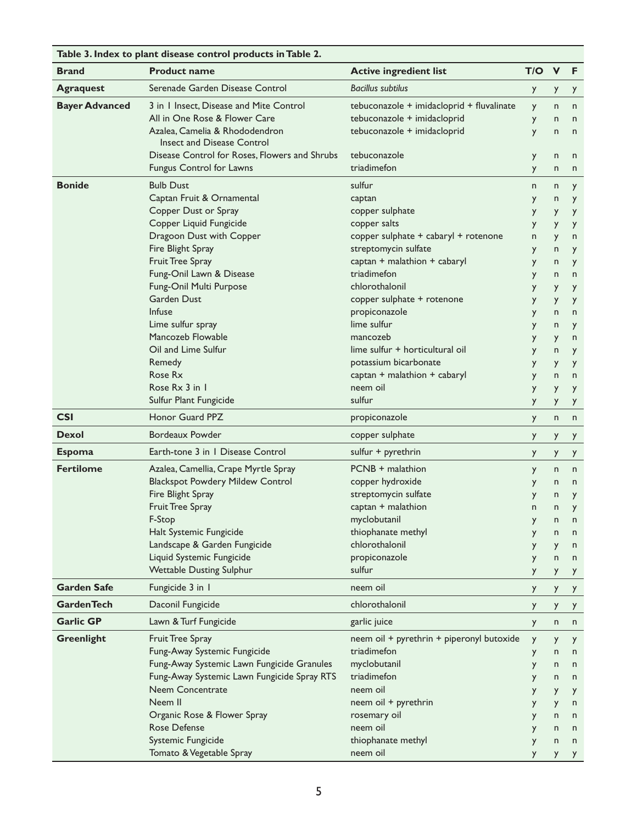| Table 3. Index to plant disease control products in Table 2. |                                                              |                                           |     |              |              |
|--------------------------------------------------------------|--------------------------------------------------------------|-------------------------------------------|-----|--------------|--------------|
| <b>Brand</b>                                                 | <b>Product name</b>                                          | <b>Active ingredient list</b>             | T/O | $\mathbf{V}$ | F            |
| <b>Agraquest</b>                                             | Serenade Garden Disease Control                              | <b>Bacillus subtilus</b>                  | y   | y            | y            |
| <b>Bayer Advanced</b>                                        | 3 in 1 Insect, Disease and Mite Control                      | tebuconazole + imidacloprid + fluvalinate | y   | n            | $\mathsf{n}$ |
|                                                              | All in One Rose & Flower Care                                | tebuconazole + imidacloprid               | y   | n            | n            |
|                                                              | Azalea, Camelia & Rhododendron<br>Insect and Disease Control | tebuconazole + imidacloprid               | y   | n            | $\mathsf{n}$ |
|                                                              | Disease Control for Roses, Flowers and Shrubs                | tebuconazole                              | y   | n            | n            |
|                                                              | Fungus Control for Lawns                                     | triadimefon                               | y   | n            | n            |
| <b>Bonide</b>                                                | <b>Bulb Dust</b>                                             | sulfur                                    | n   | n            | y            |
|                                                              | Captan Fruit & Ornamental                                    | captan                                    | y   | n            | y            |
|                                                              | Copper Dust or Spray                                         | copper sulphate                           | y   | y            | y            |
|                                                              | Copper Liquid Fungicide                                      | copper salts                              | y   | y            | y            |
|                                                              | Dragoon Dust with Copper                                     | copper sulphate + cabaryl + rotenone      | n   | y            | n            |
|                                                              | Fire Blight Spray                                            | streptomycin sulfate                      | y   | n            | y            |
|                                                              | Fruit Tree Spray                                             | captan + malathion + cabaryl              | y   | n            | y            |
|                                                              | Fung-Onil Lawn & Disease                                     | triadimefon                               | y   | n            | $\mathsf{n}$ |
|                                                              | Fung-Onil Multi Purpose                                      | chlorothalonil                            | y   | y            | y            |
|                                                              | <b>Garden Dust</b>                                           | copper sulphate + rotenone                | y   | y            | y            |
|                                                              | <b>Infuse</b>                                                | propiconazole                             | y   | n            | n            |
|                                                              | Lime sulfur spray                                            | lime sulfur                               | y   | n            | y            |
|                                                              | Mancozeb Flowable                                            | mancozeb                                  | y   | y            | n            |
|                                                              | Oil and Lime Sulfur                                          | lime sulfur + horticultural oil           | y   | n            | y            |
|                                                              | Remedy                                                       | potassium bicarbonate                     | y   | y            | y            |
|                                                              | Rose Rx                                                      | captan + malathion + cabaryl              | y   | n            | n            |
|                                                              | Rose Rx 3 in 1                                               | neem oil                                  | y   | y            | y            |
|                                                              | Sulfur Plant Fungicide                                       | sulfur                                    | y   | y            | y            |
| <b>CSI</b>                                                   | <b>Honor Guard PPZ</b>                                       | propiconazole                             | y   | n            | n            |
| <b>Dexol</b>                                                 | <b>Bordeaux Powder</b>                                       | copper sulphate                           | y   | y            | y            |
| <b>Espoma</b>                                                | Earth-tone 3 in 1 Disease Control                            | sulfur + pyrethrin                        | y   | y            | y            |
| <b>Fertilome</b>                                             | Azalea, Camellia, Crape Myrtle Spray                         | PCNB + malathion                          | y   | n            | n            |
|                                                              | <b>Blackspot Powdery Mildew Control</b>                      | copper hydroxide                          | y   | n            | n            |
|                                                              | Fire Blight Spray                                            | streptomycin sulfate                      | y   | n            | y            |
|                                                              | Fruit Tree Spray                                             | captan + malathion                        | n   | n            | y            |
|                                                              | F-Stop                                                       | myclobutanil                              | y   | n            | n            |
|                                                              | Halt Systemic Fungicide                                      | thiophanate methyl                        |     | n            | n            |
|                                                              | Landscape & Garden Fungicide                                 | chlorothalonil                            | y   | y            | n            |
|                                                              | Liquid Systemic Fungicide                                    | propiconazole                             | y   | $\mathsf{n}$ | n            |
|                                                              | <b>Wettable Dusting Sulphur</b>                              | sulfur                                    | y   | y            | y            |
| <b>Garden Safe</b>                                           | Fungicide 3 in 1                                             | neem oil                                  | y   | y            | y            |
| <b>GardenTech</b>                                            | Daconil Fungicide                                            | chlorothalonil                            | y   | y            | y            |
| <b>Garlic GP</b>                                             | Lawn & Turf Fungicide                                        | garlic juice                              | y   | n            | $\mathsf{n}$ |
| <b>Greenlight</b>                                            | Fruit Tree Spray                                             | neem oil + pyrethrin + piperonyl butoxide | y   | y            | y            |
|                                                              | Fung-Away Systemic Fungicide                                 | triadimefon                               | y   | n            | n            |
|                                                              | Fung-Away Systemic Lawn Fungicide Granules                   | myclobutanil                              | y   | n            | n            |
|                                                              | Fung-Away Systemic Lawn Fungicide Spray RTS                  | triadimefon                               | y   | n            | n            |
|                                                              | Neem Concentrate                                             | neem oil                                  | y   | y            | y            |
|                                                              | Neem II                                                      | neem oil + pyrethrin                      | y   | y            | n            |
|                                                              | Organic Rose & Flower Spray                                  | rosemary oil                              | У   | n            | n            |
|                                                              | <b>Rose Defense</b>                                          | neem oil                                  | y   | n            | n            |
|                                                              | Systemic Fungicide                                           | thiophanate methyl                        | y   | n            | n            |
|                                                              | Tomato & Vegetable Spray                                     | neem oil                                  |     | Y.           | y            |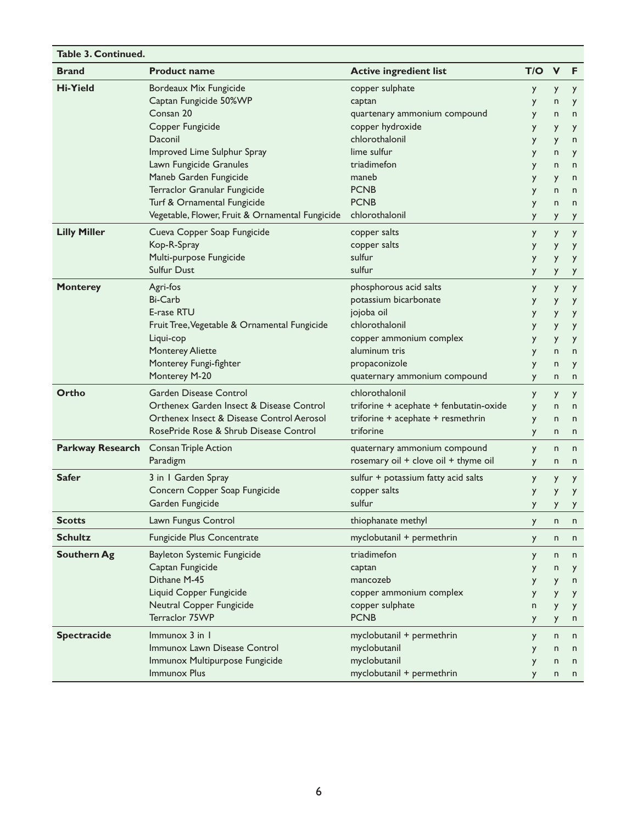| <b>Table 3. Continued.</b> |                                                 |                                         |     |              |              |
|----------------------------|-------------------------------------------------|-----------------------------------------|-----|--------------|--------------|
| <b>Brand</b>               | <b>Product name</b>                             | <b>Active ingredient list</b>           | T/O | $\mathbf v$  | F            |
| <b>Hi-Yield</b>            | Bordeaux Mix Fungicide                          | copper sulphate                         | y   | y            | y            |
|                            | Captan Fungicide 50%WP                          | captan                                  | y   | n            | y            |
|                            | Consan 20                                       | quartenary ammonium compound            | У   | n            | n            |
|                            | Copper Fungicide                                | copper hydroxide                        | У   | y            | y            |
|                            | Daconil                                         | chlorothalonil                          | y   | y            | n            |
|                            | Improved Lime Sulphur Spray                     | lime sulfur                             | y   | n            | y            |
|                            | Lawn Fungicide Granules                         | triadimefon                             | y   | n            | $\mathsf{n}$ |
|                            | Maneb Garden Fungicide                          | maneb                                   | y   | y            | n            |
|                            | Terraclor Granular Fungicide                    | <b>PCNB</b>                             | y   | n            | n            |
|                            | Turf & Ornamental Fungicide                     | <b>PCNB</b>                             | y   | n            | n            |
|                            | Vegetable, Flower, Fruit & Ornamental Fungicide | chlorothalonil                          | y   | y            | y            |
| <b>Lilly Miller</b>        | Cueva Copper Soap Fungicide                     | copper salts                            | y   | y            | y            |
|                            | Kop-R-Spray                                     | copper salts                            | У   | y            | y            |
|                            | Multi-purpose Fungicide                         | sulfur                                  | y   | y            | y            |
|                            | Sulfur Dust                                     | sulfur                                  | y   | y            | y            |
| <b>Monterey</b>            | Agri-fos                                        | phosphorous acid salts                  | y   | y            | y            |
|                            | Bi-Carb                                         | potassium bicarbonate                   | y   | y            | y            |
|                            | E-rase RTU                                      | jojoba oil                              | y   | y            | y            |
|                            | Fruit Tree, Vegetable & Ornamental Fungicide    | chlorothalonil                          | y   | y            | y            |
|                            | Liqui-cop                                       | copper ammonium complex                 | у   | y            | y            |
|                            | <b>Monterey Aliette</b>                         | aluminum tris                           | y   | n            | n            |
|                            | Monterey Fungi-fighter                          | propaconizole                           | y   | n            | y            |
|                            | Monterey M-20                                   | quaternary ammonium compound            | y   | n            | n            |
| Ortho                      | Garden Disease Control                          | chlorothalonil                          | y   | y            | y            |
|                            | Orthenex Garden Insect & Disease Control        | triforine + acephate + fenbutatin-oxide | y   | n            | $\mathsf{n}$ |
|                            | Orthenex Insect & Disease Control Aerosol       | triforine + acephate + resmethrin       | y   | n            | n            |
|                            | RosePride Rose & Shrub Disease Control          | triforine                               | y.  | n            | n            |
|                            | Parkway Research Consan Triple Action           | quaternary ammonium compound            | y   | $\mathsf{n}$ | n            |
|                            | Paradigm                                        | rosemary oil + clove oil + thyme oil    | y   | n            | n            |
|                            |                                                 |                                         |     |              |              |
| <b>Safer</b>               | 3 in 1 Garden Spray                             | sulfur + potassium fatty acid salts     | y   | y            | y            |
|                            | Concern Copper Soap Fungicide                   | copper salts<br>sulfur                  | y   | y            | y            |
|                            | Garden Fungicide                                |                                         | y   | y            | y            |
| <b>Scotts</b>              | Lawn Fungus Control                             | thiophanate methyl                      | y   | n            | n            |
| <b>Schultz</b>             | Fungicide Plus Concentrate                      | myclobutanil + permethrin               | y.  | n            | n            |
| <b>Southern Ag</b>         | Bayleton Systemic Fungicide                     | triadimefon                             | y   | n            | n            |
|                            | Captan Fungicide                                | captan                                  | y   | n            | y            |
|                            | Dithane M-45                                    | mancozeb                                | y   | y            | n            |
|                            | Liquid Copper Fungicide                         | copper ammonium complex                 | y   | y            | y            |
|                            | Neutral Copper Fungicide                        | copper sulphate                         | n   | y            | y            |
|                            | Terraclor 75WP                                  | <b>PCNB</b>                             | y   | y            | n            |
| <b>Spectracide</b>         | $Immunox$ 3 in $\overline{\phantom{a}}$         | myclobutanil + permethrin               | y   | $\mathsf{n}$ | n            |
|                            | Immunox Lawn Disease Control                    | myclobutanil                            | y   | n            | n            |
|                            | Immunox Multipurpose Fungicide                  | myclobutanil                            | y   | n            | n            |
|                            | Immunox Plus                                    | myclobutanil + permethrin               | y   | n            | n            |